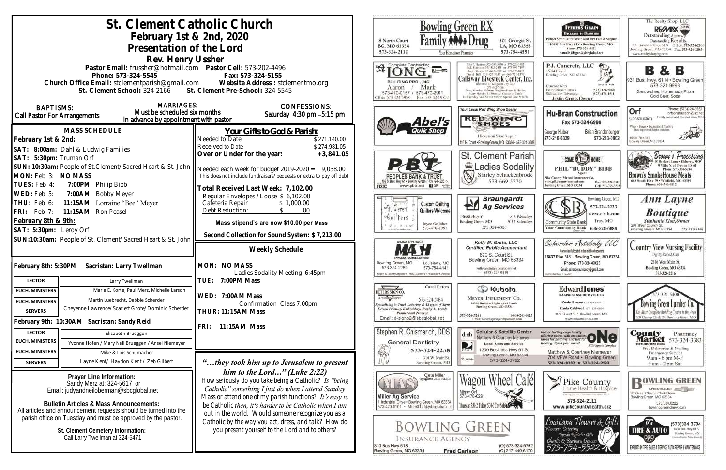|                                                                                                                                                   | St. Clement Catholic Church                                                            |                                                                                                              |                                                                                                      | <b>Bowling Green RX</b>                                                                         |
|---------------------------------------------------------------------------------------------------------------------------------------------------|----------------------------------------------------------------------------------------|--------------------------------------------------------------------------------------------------------------|------------------------------------------------------------------------------------------------------|-------------------------------------------------------------------------------------------------|
| February 1st & 2nd, 2020                                                                                                                          |                                                                                        |                                                                                                              |                                                                                                      |                                                                                                 |
|                                                                                                                                                   | Presentation of the Lord                                                               |                                                                                                              | 8 North Court<br>BG, MO 63334                                                                        | 301 Georgia St.<br>LA, MO 63353                                                                 |
|                                                                                                                                                   | Rev. Henry Ussher                                                                      |                                                                                                              | 573-324-2112                                                                                         | 573-754-4551<br>Your Hometown Pharmacy                                                          |
|                                                                                                                                                   | Pastor Email: frussher@hotmail.com    Pastor Cell: 573-202-4496                        |                                                                                                              | Complete Contracting                                                                                 |                                                                                                 |
| Phone: 573-324-5545                                                                                                                               |                                                                                        | Fax: 573-324-5155                                                                                            |                                                                                                      | Callaway Livestock Center, Inc.                                                                 |
| Church Office Email: stclementparish@gmail.com Website Address : stclementmo.org<br>St. Clement School: 324-2166 St. Clement Pre-School: 324-5545 |                                                                                        |                                                                                                              | BUILDING PRO., INC.<br>Mark<br>Aaron                                                                 | mane 70, Kingdom City, MO<br>573-643-7486<br>Every Monday 10:00am Stagpher Steers & Heiler      |
|                                                                                                                                                   |                                                                                        |                                                                                                              | 573-470-0157 / 573-470-2911<br>Office:573-324-5958<br>Fax: 573-324-9802                              | Every Monday 12:30pts All Classes of Cattle<br>ist Thursday Each Month 6:00pm Special Cow & Bul |
| <b>MARRIAGES:</b><br><b>BAPTISMS:</b><br>Must be scheduled six months                                                                             |                                                                                        | <b>CONFESSIONS:</b>                                                                                          |                                                                                                      | Your Local Red Wing Shoe Dealer                                                                 |
| <b>Call Pastor For Arrangements</b><br>in advance by appointment with pastor                                                                      |                                                                                        | Saturday $4:30$ pm $-5:15$ pm                                                                                | Abel's                                                                                               | <b>RED WING</b>                                                                                 |
|                                                                                                                                                   | MASS SCHEDULE                                                                          | Your Gifts to God & Parish:                                                                                  | <b>Quik Shop</b>                                                                                     | <b>SHOES</b>                                                                                    |
| February 1st & 2nd:                                                                                                                               |                                                                                        | Needed to Date<br>\$271,140.00                                                                               |                                                                                                      | Hickerson Shoe Repair<br>116 N. Court . Bowling Green, MO 63334 . 573-324-3688                  |
| SAT: 8:00am: Dahl & Ludwig Families                                                                                                               |                                                                                        | Received to Date<br>\$274,981.05                                                                             |                                                                                                      |                                                                                                 |
| SAT: 5:30pm: Truman Orf                                                                                                                           |                                                                                        | Over or Under for the year:<br>$+3,841.05$                                                                   |                                                                                                      | St. Clement Parish                                                                              |
| SUN: 10:30am: People of St.Clement/Sacred Heart & St. John                                                                                        |                                                                                        | Needed each week for budget $2019-2020 = 9,038.00$                                                           |                                                                                                      | Ladies Sodality                                                                                 |
| MON: Feb 3: NO MASS<br>TUES: Feb 4:                                                                                                               |                                                                                        | This does not include fundraisers/bequests or extra to pay off debt                                          | <b>PEOPLES BANK &amp; TRUS</b><br>S. Bus. Hwy 61 . Bowling Green (573) 324-2525.                     | N<br>573-669-5270                                                                               |
| 7:00PM Philip Bibb<br>WED: Feb 5:<br>7:00AM Bobby Meyer                                                                                           |                                                                                        | Fotal Received Last Week: 7,102.00                                                                           | www.pbtc.net <b>El</b><br>FDIC                                                                       |                                                                                                 |
| 11:15AM Lorraine "Bee" Meyer<br>THU: Feb 6:                                                                                                       |                                                                                        | Regular Envelopes / Loose \$ 6,102.00<br>Cafeteria Repair<br>\$1,000.00                                      | <b>Custom Quilting</b>                                                                               | <b>Braungardt</b>                                                                               |
| FRI: Feb 7:<br>11:15AM Ron Peasel                                                                                                                 |                                                                                        | Debt Reduction:<br>.00<br>$\mathcal{S}$                                                                      | Gerent<br>Quilters Welcome                                                                           | <b>Ag Services</b>                                                                              |
| February 8th & 9th:                                                                                                                               |                                                                                        | Mass stipend's are now \$10.00 per Mass                                                                      | chuilters à<br>Joyce Gollaher                                                                        | 13688 Hwy Y<br>8-5 Weekdays<br>Bowling Green, MO<br>8-12 Saturdays                              |
| SAT: 5:30pm: Leroy Orf                                                                                                                            |                                                                                        | Second Collection for Sound System: \$7,213.00                                                               | 573-470-1997                                                                                         | 573-324-6820                                                                                    |
| SUN:10:30am: People of St. Clement/Sacred Heart & St. John                                                                                        |                                                                                        |                                                                                                              | MAJOR APPLIANCE                                                                                      | Kelly M. Grote, LLC<br><b>Certified Public Accountant</b>                                       |
|                                                                                                                                                   |                                                                                        | Weekly Schedule                                                                                              |                                                                                                      | 820 S. Court St.                                                                                |
| February 8th: 5:30PM Sacristan: Larry Twellman                                                                                                    |                                                                                        | MON: NO MASS                                                                                                 | Bowling Green, MO<br>Louisiana, MO<br>573-324-2259<br>573-754-4141                                   | Bowling Green, MO 63334<br>kelly.grote@sbcglobal.net                                            |
|                                                                                                                                                   |                                                                                        | Ladies Sodality Meeting 6:45pm                                                                               | Kitchen & Laundry Appliance - HVAC Systems - Installation & Service                                  | (573) 324-9885                                                                                  |
| <b>LECTOR</b>                                                                                                                                     | Larry Twellman                                                                         | TUE: 7:00PM Mass                                                                                             | <b>Carol Deters</b>                                                                                  | Colcotuy Co                                                                                     |
| <b>EUCH. MINISTERS</b>                                                                                                                            | Marie E. Korte, Paul Merz, Michelle Larson                                             | WED: 7:00AM Mass                                                                                             | DETERS SIGN CO<br>A T-SBIRT SHOPPE<br>573-324-5484                                                   | <b>MEYER IMPLEMENT CO.</b>                                                                      |
| <b>EUCH. MINISTERS</b>                                                                                                                            | Martin Luebrecht, Debbie Scherder<br>Cheyenne Lawrence/Scarlett Grote/Dominic Scherder | Confirmation Class 7:00pm                                                                                    | quecializing in Truck Lettering & All types of Signs<br>Screen Printing, Embroidery, Trophy & Awards | 16398 Business Highway 61 North<br>Bowling Green, MO 63334                                      |
| <b>SERVERS</b>                                                                                                                                    |                                                                                        | <b>THUR: 11:15AM Mass</b>                                                                                    | <b>Promotional Products</b><br>Email: d-signs2@sbcglobal.net                                         | 573-324-5261<br>1-800-246-0623<br>Email: service@meyerimplement.com                             |
|                                                                                                                                                   | February 9th: 10:30AM Sacristan: Sandy Reid                                            | 11:15AM Mass<br>FRI:                                                                                         | Stephen R. Chismarich, DDS                                                                           | <b>Cellular &amp; Satellite Center</b>                                                          |
| <b>LECTOR</b><br><b>EUCH. MINISTERS</b>                                                                                                           | Elizabeth Brueggen                                                                     |                                                                                                              | <b>General Dentistry</b>                                                                             | d sh<br>Matthew & Courtney Niemeyer                                                             |
| <b>EUCH. MINISTERS</b>                                                                                                                            | Yvonne Hofen / Mary Nell Brueggen / Ansel Niemeyer                                     |                                                                                                              | 573-324-2238                                                                                         | <b>Local Sales and Service</b><br>D<br>1300 Business Hwy 61 S.<br>DIRECTY                       |
| <b>SERVERS</b>                                                                                                                                    | Mike & Lois Schumacher<br>Layne Kent/ Haydon Kent / Zeb Gilbert                        |                                                                                                              | 310 W. Main St.<br>Bowling Green, MO                                                                 | Bowling Green, MO 63334<br><b>PUIDEE</b><br>573-324-3722                                        |
|                                                                                                                                                   |                                                                                        | "they took him up to Jerusalem to present"<br>him to the Lord" (Luke 2:22)                                   |                                                                                                      |                                                                                                 |
| Prayer Line Information:<br>Sandy Merz at: 324-5617 or                                                                                            |                                                                                        | How seriously do you take being a Catholic? Is "being                                                        | Clete Miller<br>syngenta Seed Advisor                                                                | Wagon W                                                                                         |
| Email: judyandneiloberman@sbcglobal.net                                                                                                           |                                                                                        | Catholic" something I just do when I attend Sunday                                                           |                                                                                                      | Missy Orf                                                                                       |
| <b>Bulletin Articles &amp; Mass Announcements:</b>                                                                                                |                                                                                        | Mass or attend one of my parish functions? It's easy to                                                      | <b>Miller Ag Service</b><br>1 Industrial Drive . Bowling Green, MO 63334                             | 573-470-0291                                                                                    |
| All articles and announcement requests should be turned into the                                                                                  |                                                                                        | be Catholic then, it's harder to be Catholic when I am<br>out in the world. Would someone recognize you as a | 573-470-0101 · Miller0121@sbcglobal.net                                                              | Thursday 5:34-2: Friday 5:34-2 Cow Sales                                                        |
| parish office on Tuesday and must be approved by the pastor.                                                                                      |                                                                                        | Catholic by the way you act, dress, and talk? How do                                                         |                                                                                                      |                                                                                                 |
| St. Clement Cemetery Information:                                                                                                                 |                                                                                        | you present yourself to the Lord and to others?                                                              | <b>BOWLING GREEN</b>                                                                                 |                                                                                                 |
| Call Larry Twellman at 324-5471                                                                                                                   |                                                                                        |                                                                                                              | <b>INSURANCE AGENCY</b><br>310 Bus Hwy 61S                                                           | (O) 573-324-5762                                                                                |
|                                                                                                                                                   |                                                                                        |                                                                                                              | Bowling Green, MO 63334                                                                              | <b>Fred Carlson</b><br>(C) 217-440-6170                                                         |